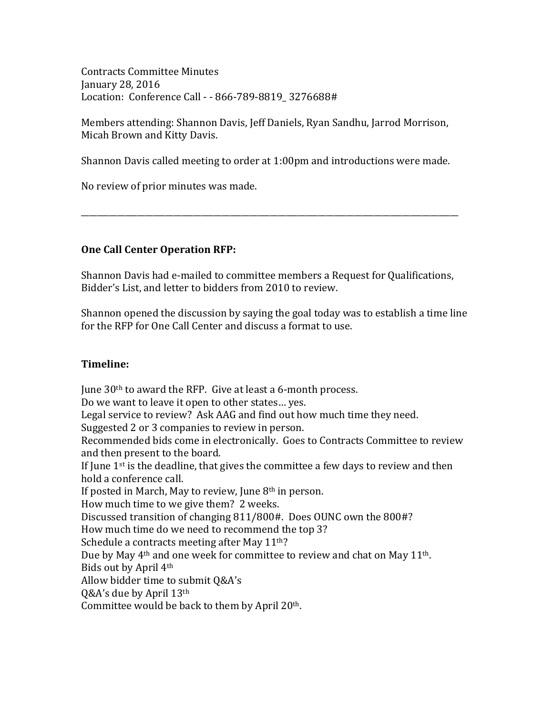Contracts Committee Minutes January 28, 2016 Location: Conference Call - - 866-789-8819 3276688#

Members attending: Shannon Davis, Jeff Daniels, Ryan Sandhu, Jarrod Morrison, Micah Brown and Kitty Davis.

Shannon Davis called meeting to order at 1:00pm and introductions were made.

\_\_\_\_\_\_\_\_\_\_\_\_\_\_\_\_\_\_\_\_\_\_\_\_\_\_\_\_\_\_\_\_\_\_\_\_\_\_\_\_\_\_\_\_\_\_\_\_\_\_\_\_\_\_\_\_\_\_\_\_\_\_\_\_\_\_\_\_\_\_\_\_\_\_\_\_\_\_\_\_\_\_\_\_\_\_\_\_\_\_\_\_\_\_

No review of prior minutes was made.

## **One Call Center Operation RFP:**

Shannon Davis had e-mailed to committee members a Request for Qualifications, Bidder's List, and letter to bidders from 2010 to review.

Shannon opened the discussion by saying the goal today was to establish a time line for the RFP for One Call Center and discuss a format to use.

## **Timeline:**

June  $30<sup>th</sup>$  to award the RFP. Give at least a 6-month process. Do we want to leave it open to other states... yes. Legal service to review? Ask AAG and find out how much time they need. Suggested 2 or 3 companies to review in person. Recommended bids come in electronically. Goes to Contracts Committee to review and then present to the board. If June  $1<sup>st</sup>$  is the deadline, that gives the committee a few days to review and then hold a conference call. If posted in March, May to review, June  $8<sup>th</sup>$  in person. How much time to we give them? 2 weeks. Discussed transition of changing 811/800#. Does OUNC own the 800#? How much time do we need to recommend the top 3? Schedule a contracts meeting after May  $11<sup>th</sup>$ ? Due by May  $4<sup>th</sup>$  and one week for committee to review and chat on May 11<sup>th</sup>. Bids out by April 4<sup>th</sup> Allow bidder time to submit Q&A's Q&A's due by April  $13<sup>th</sup>$ Committee would be back to them by April  $20<sup>th</sup>$ .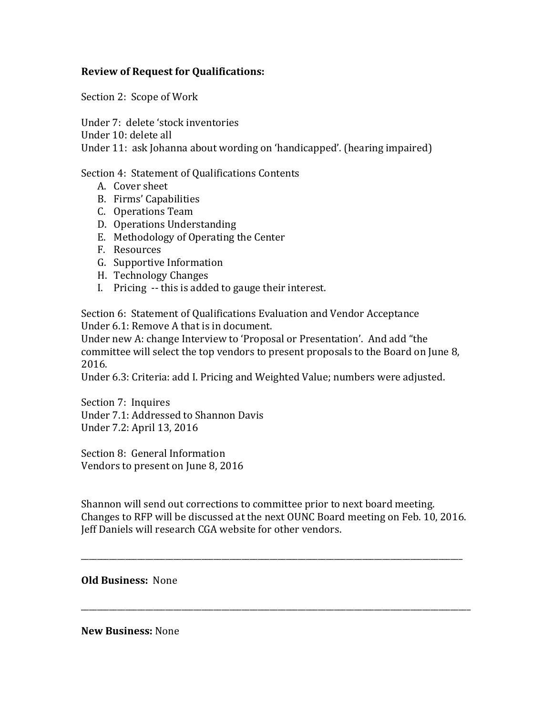## **Review of Request for Qualifications:**

Section 2: Scope of Work

Under 7: delete 'stock inventories

Under 10: delete all

Under 11: ask Johanna about wording on 'handicapped'. (hearing impaired)

Section 4: Statement of Qualifications Contents

- A. Cover sheet
- B. Firms' Capabilities
- C. Operations Team
- D. Operations Understanding
- E. Methodology of Operating the Center
- F. Resources
- G. Supportive Information
- H. Technology Changes
- I. Pricing -- this is added to gauge their interest.

Section 6: Statement of Qualifications Evaluation and Vendor Acceptance Under 6.1: Remove A that is in document.

Under new A: change Interview to 'Proposal or Presentation'. And add "the committee will select the top vendors to present proposals to the Board on June 8, 2016.

Under 6.3: Criteria: add I. Pricing and Weighted Value; numbers were adjusted.

Section 7: Inquires Under 7.1: Addressed to Shannon Davis Under 7.2: April 13, 2016

Section 8: General Information Vendors to present on June 8, 2016

Shannon will send out corrections to committee prior to next board meeting. Changes to RFP will be discussed at the next OUNC Board meeting on Feb. 10, 2016. Leff Daniels will research CGA website for other vendors.

\_\_\_\_\_\_\_\_\_\_\_\_\_\_\_\_\_\_\_\_\_\_\_\_\_\_\_\_\_\_\_\_\_\_\_\_\_\_\_\_\_\_\_\_\_\_\_\_\_\_\_\_\_\_\_\_\_\_\_\_\_\_\_\_\_\_\_\_\_\_\_\_\_\_\_\_\_\_\_\_\_\_\_\_\_\_\_\_\_\_\_\_\_\_\_

\_\_\_\_\_\_\_\_\_\_\_\_\_\_\_\_\_\_\_\_\_\_\_\_\_\_\_\_\_\_\_\_\_\_\_\_\_\_\_\_\_\_\_\_\_\_\_\_\_\_\_\_\_\_\_\_\_\_\_\_\_\_\_\_\_\_\_\_\_\_\_\_\_\_\_\_\_\_\_\_\_\_\_\_\_\_\_\_\_\_\_\_\_\_\_\_\_

**Old Business: None** 

**New Business:** None